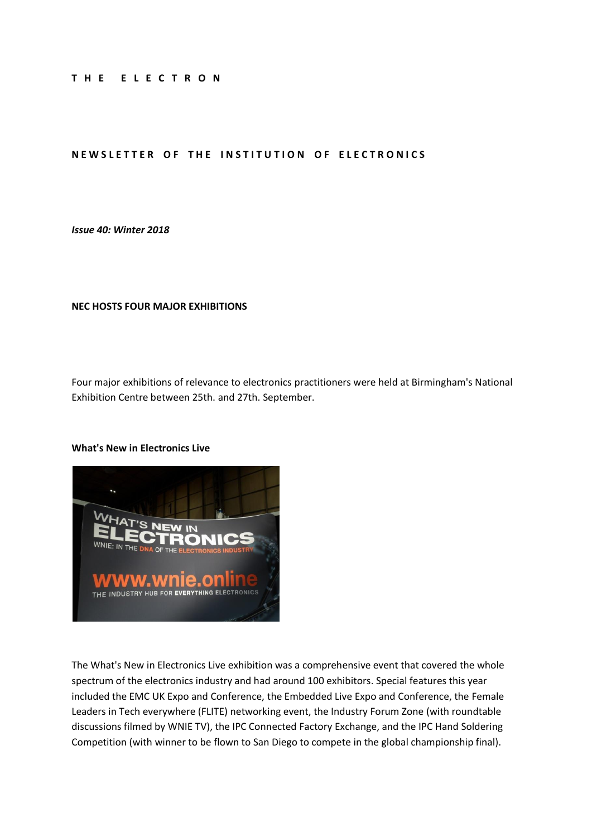#### **T H E E L E C T R O N**

### **NEWSLETTER OF THE INSTITUTION OF ELECTRONICS**

### *Issue 40: Winter 2018*

#### **NEC HOSTS FOUR MAJOR EXHIBITIONS**

Four major exhibitions of relevance to electronics practitioners were held at Birmingham's National Exhibition Centre between 25th. and 27th. September.

#### **What's New in Electronics Live**



The What's New in Electronics Live exhibition was a comprehensive event that covered the whole spectrum of the electronics industry and had around 100 exhibitors. Special features this year included the EMC UK Expo and Conference, the Embedded Live Expo and Conference, the Female Leaders in Tech everywhere (FLITE) networking event, the Industry Forum Zone (with roundtable discussions filmed by WNIE TV), the IPC Connected Factory Exchange, and the IPC Hand Soldering Competition (with winner to be flown to San Diego to compete in the global championship final).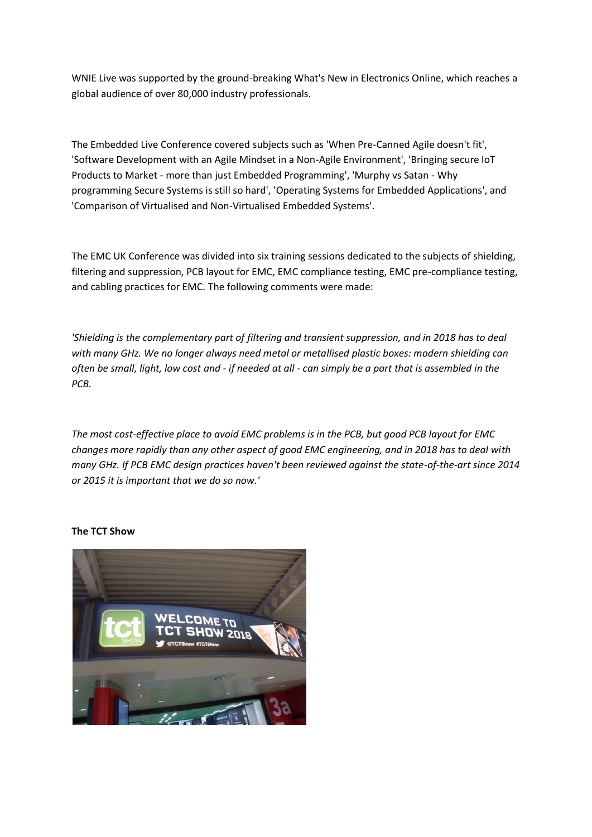WNIE Live was supported by the ground-breaking What's New in Electronics Online, which reaches a global audience of over 80,000 industry professionals.

The Embedded Live Conference covered subjects such as 'When Pre-Canned Agile doesn't fit', 'Software Development with an Agile Mindset in a Non-Agile Environment', 'Bringing secure IoT Products to Market - more than just Embedded Programming', 'Murphy vs Satan - Why programming Secure Systems is still so hard', 'Operating Systems for Embedded Applications', and 'Comparison of Virtualised and Non-Virtualised Embedded Systems'.

The EMC UK Conference was divided into six training sessions dedicated to the subjects of shielding, filtering and suppression, PCB layout for EMC, EMC compliance testing, EMC pre-compliance testing, and cabling practices for EMC. The following comments were made:

*'Shielding is the complementary part of filtering and transient suppression, and in 2018 has to deal with many GHz. We no longer always need metal or metallised plastic boxes: modern shielding can often be small, light, low cost and - if needed at all - can simply be a part that is assembled in the PCB.*

*The most cost-effective place to avoid EMC problems is in the PCB, but good PCB layout for EMC changes more rapidly than any other aspect of good EMC engineering, and in 2018 has to deal with many GHz. If PCB EMC design practices haven't been reviewed against the state-of-the-art since 2014 or 2015 it is important that we do so now.'*

# **The TCT Show**

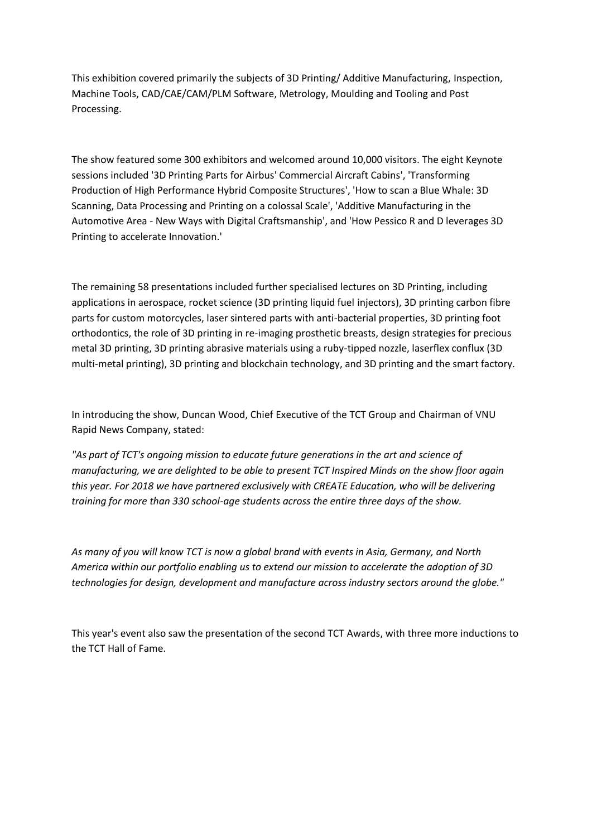This exhibition covered primarily the subjects of 3D Printing/ Additive Manufacturing, Inspection, Machine Tools, CAD/CAE/CAM/PLM Software, Metrology, Moulding and Tooling and Post Processing.

The show featured some 300 exhibitors and welcomed around 10,000 visitors. The eight Keynote sessions included '3D Printing Parts for Airbus' Commercial Aircraft Cabins', 'Transforming Production of High Performance Hybrid Composite Structures', 'How to scan a Blue Whale: 3D Scanning, Data Processing and Printing on a colossal Scale', 'Additive Manufacturing in the Automotive Area - New Ways with Digital Craftsmanship', and 'How Pessico R and D leverages 3D Printing to accelerate Innovation.'

The remaining 58 presentations included further specialised lectures on 3D Printing, including applications in aerospace, rocket science (3D printing liquid fuel injectors), 3D printing carbon fibre parts for custom motorcycles, laser sintered parts with anti-bacterial properties, 3D printing foot orthodontics, the role of 3D printing in re-imaging prosthetic breasts, design strategies for precious metal 3D printing, 3D printing abrasive materials using a ruby-tipped nozzle, laserflex conflux (3D multi-metal printing), 3D printing and blockchain technology, and 3D printing and the smart factory.

In introducing the show, Duncan Wood, Chief Executive of the TCT Group and Chairman of VNU Rapid News Company, stated:

"As part of TCT's ongoing mission to educate future generations in the art and science of *manufacturing, we are delighted to be able to present TCT Inspired Minds on the show floor again this year. For 2018 we have partnered exclusively with CREATE Education, who will be delivering training for more than 330 school-age students across the entire three days of the show.*

*As many of you will know TCT is now a global brand with events in Asia, Germany, and North America within our portfolio enabling us to extend our mission to accelerate the adoption of 3D technologies for design, development and manufacture across industry sectors around the globe."*

This year's event also saw the presentation of the second TCT Awards, with three more inductions to the TCT Hall of Fame.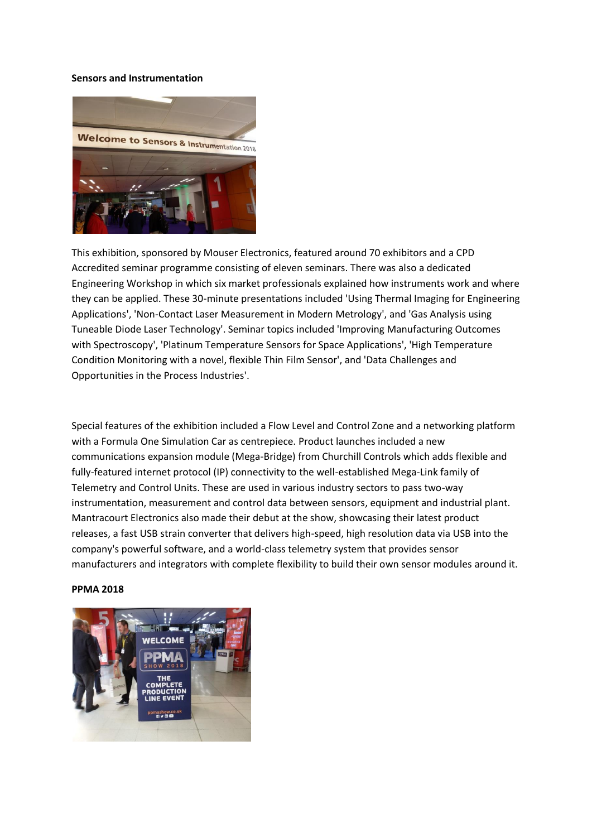#### **Sensors and Instrumentation**



This exhibition, sponsored by Mouser Electronics, featured around 70 exhibitors and a CPD Accredited seminar programme consisting of eleven seminars. There was also a dedicated Engineering Workshop in which six market professionals explained how instruments work and where they can be applied. These 30-minute presentations included 'Using Thermal Imaging for Engineering Applications', 'Non-Contact Laser Measurement in Modern Metrology', and 'Gas Analysis using Tuneable Diode Laser Technology'. Seminar topics included 'Improving Manufacturing Outcomes with Spectroscopy', 'Platinum Temperature Sensors for Space Applications', 'High Temperature Condition Monitoring with a novel, flexible Thin Film Sensor', and 'Data Challenges and Opportunities in the Process Industries'.

Special features of the exhibition included a Flow Level and Control Zone and a networking platform with a Formula One Simulation Car as centrepiece. Product launches included a new communications expansion module (Mega-Bridge) from Churchill Controls which adds flexible and fully-featured internet protocol (IP) connectivity to the well-established Mega-Link family of Telemetry and Control Units. These are used in various industry sectors to pass two-way instrumentation, measurement and control data between sensors, equipment and industrial plant. Mantracourt Electronics also made their debut at the show, showcasing their latest product releases, a fast USB strain converter that delivers high-speed, high resolution data via USB into the company's powerful software, and a world-class telemetry system that provides sensor manufacturers and integrators with complete flexibility to build their own sensor modules around it.

#### **PPMA 2018**

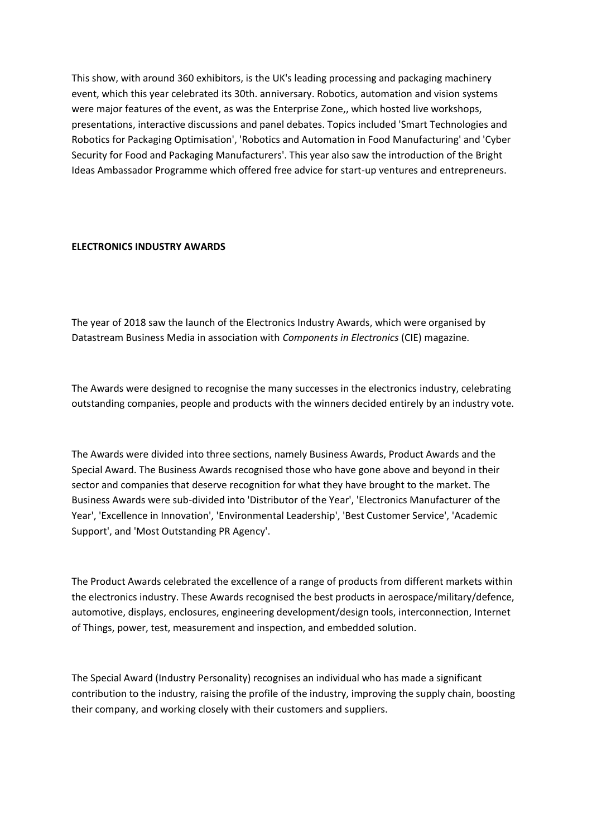This show, with around 360 exhibitors, is the UK's leading processing and packaging machinery event, which this year celebrated its 30th. anniversary. Robotics, automation and vision systems were major features of the event, as was the Enterprise Zone,, which hosted live workshops, presentations, interactive discussions and panel debates. Topics included 'Smart Technologies and Robotics for Packaging Optimisation', 'Robotics and Automation in Food Manufacturing' and 'Cyber Security for Food and Packaging Manufacturers'. This year also saw the introduction of the Bright Ideas Ambassador Programme which offered free advice for start-up ventures and entrepreneurs.

### **ELECTRONICS INDUSTRY AWARDS**

The year of 2018 saw the launch of the Electronics Industry Awards, which were organised by Datastream Business Media in association with *Components in Electronics* (CIE) magazine.

The Awards were designed to recognise the many successes in the electronics industry, celebrating outstanding companies, people and products with the winners decided entirely by an industry vote.

The Awards were divided into three sections, namely Business Awards, Product Awards and the Special Award. The Business Awards recognised those who have gone above and beyond in their sector and companies that deserve recognition for what they have brought to the market. The Business Awards were sub-divided into 'Distributor of the Year', 'Electronics Manufacturer of the Year', 'Excellence in Innovation', 'Environmental Leadership', 'Best Customer Service', 'Academic Support', and 'Most Outstanding PR Agency'.

The Product Awards celebrated the excellence of a range of products from different markets within the electronics industry. These Awards recognised the best products in aerospace/military/defence, automotive, displays, enclosures, engineering development/design tools, interconnection, Internet of Things, power, test, measurement and inspection, and embedded solution.

The Special Award (Industry Personality) recognises an individual who has made a significant contribution to the industry, raising the profile of the industry, improving the supply chain, boosting their company, and working closely with their customers and suppliers.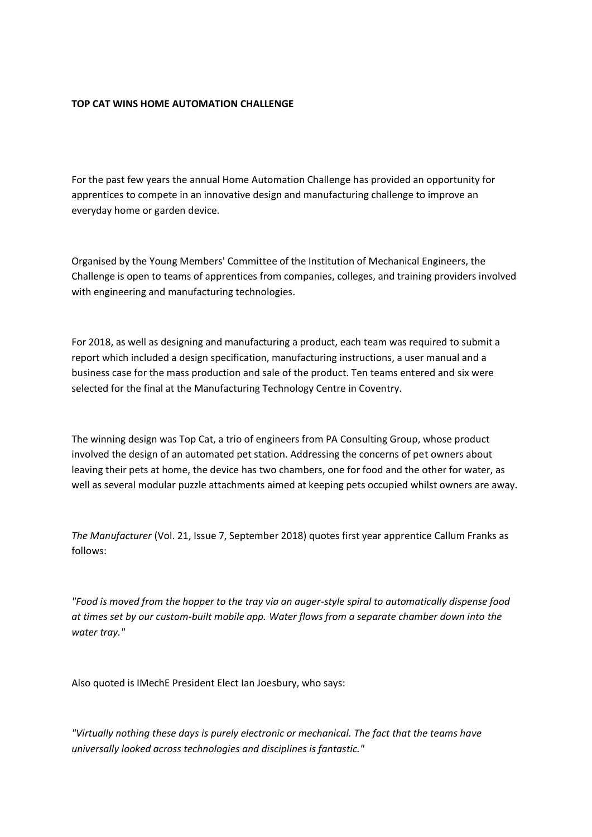### **TOP CAT WINS HOME AUTOMATION CHALLENGE**

For the past few years the annual Home Automation Challenge has provided an opportunity for apprentices to compete in an innovative design and manufacturing challenge to improve an everyday home or garden device.

Organised by the Young Members' Committee of the Institution of Mechanical Engineers, the Challenge is open to teams of apprentices from companies, colleges, and training providers involved with engineering and manufacturing technologies.

For 2018, as well as designing and manufacturing a product, each team was required to submit a report which included a design specification, manufacturing instructions, a user manual and a business case for the mass production and sale of the product. Ten teams entered and six were selected for the final at the Manufacturing Technology Centre in Coventry.

The winning design was Top Cat, a trio of engineers from PA Consulting Group, whose product involved the design of an automated pet station. Addressing the concerns of pet owners about leaving their pets at home, the device has two chambers, one for food and the other for water, as well as several modular puzzle attachments aimed at keeping pets occupied whilst owners are away.

*The Manufacturer* (Vol. 21, Issue 7, September 2018) quotes first year apprentice Callum Franks as follows:

*"Food is moved from the hopper to the tray via an auger-style spiral to automatically dispense food at times set by our custom-built mobile app. Water flows from a separate chamber down into the water tray."*

Also quoted is IMechE President Elect Ian Joesbury, who says:

*"Virtually nothing these days is purely electronic or mechanical. The fact that the teams have universally looked across technologies and disciplines is fantastic."*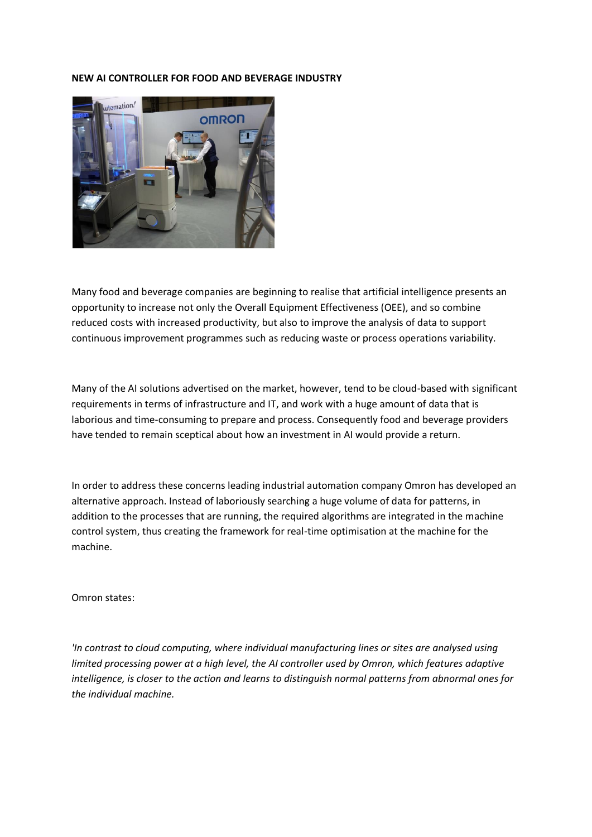#### **NEW AI CONTROLLER FOR FOOD AND BEVERAGE INDUSTRY**



Many food and beverage companies are beginning to realise that artificial intelligence presents an opportunity to increase not only the Overall Equipment Effectiveness (OEE), and so combine reduced costs with increased productivity, but also to improve the analysis of data to support continuous improvement programmes such as reducing waste or process operations variability.

Many of the AI solutions advertised on the market, however, tend to be cloud-based with significant requirements in terms of infrastructure and IT, and work with a huge amount of data that is laborious and time-consuming to prepare and process. Consequently food and beverage providers have tended to remain sceptical about how an investment in AI would provide a return.

In order to address these concerns leading industrial automation company Omron has developed an alternative approach. Instead of laboriously searching a huge volume of data for patterns, in addition to the processes that are running, the required algorithms are integrated in the machine control system, thus creating the framework for real-time optimisation at the machine for the machine.

Omron states:

*'In contrast to cloud computing, where individual manufacturing lines or sites are analysed using limited processing power at a high level, the AI controller used by Omron, which features adaptive intelligence, is closer to the action and learns to distinguish normal patterns from abnormal ones for the individual machine.*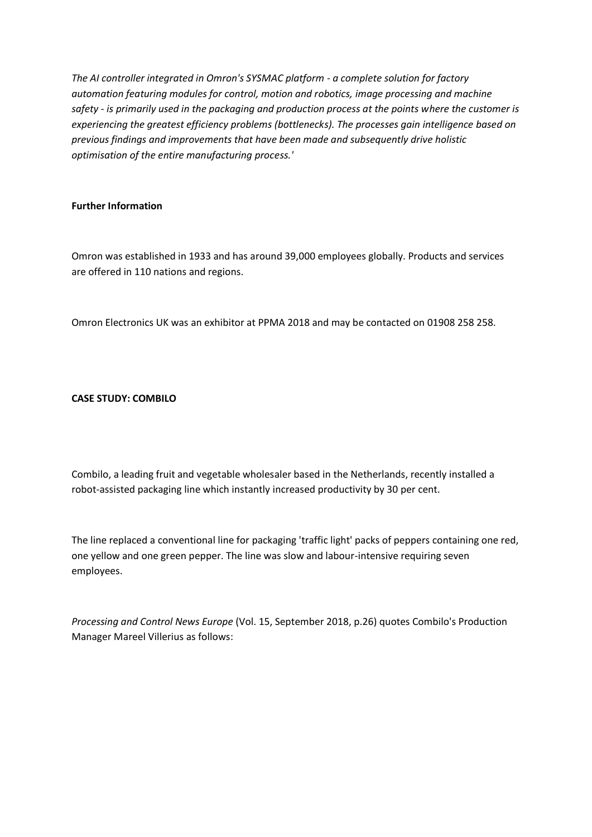*The AI controller integrated in Omron's SYSMAC platform - a complete solution for factory automation featuring modules for control, motion and robotics, image processing and machine safety - is primarily used in the packaging and production process at the points where the customer is experiencing the greatest efficiency problems (bottlenecks). The processes gain intelligence based on previous findings and improvements that have been made and subsequently drive holistic optimisation of the entire manufacturing process.'*

# **Further Information**

Omron was established in 1933 and has around 39,000 employees globally. Products and services are offered in 110 nations and regions.

Omron Electronics UK was an exhibitor at PPMA 2018 and may be contacted on 01908 258 258.

# **CASE STUDY: COMBILO**

Combilo, a leading fruit and vegetable wholesaler based in the Netherlands, recently installed a robot-assisted packaging line which instantly increased productivity by 30 per cent.

The line replaced a conventional line for packaging 'traffic light' packs of peppers containing one red, one yellow and one green pepper. The line was slow and labour-intensive requiring seven employees.

*Processing and Control News Europe* (Vol. 15, September 2018, p.26) quotes Combilo's Production Manager Mareel Villerius as follows: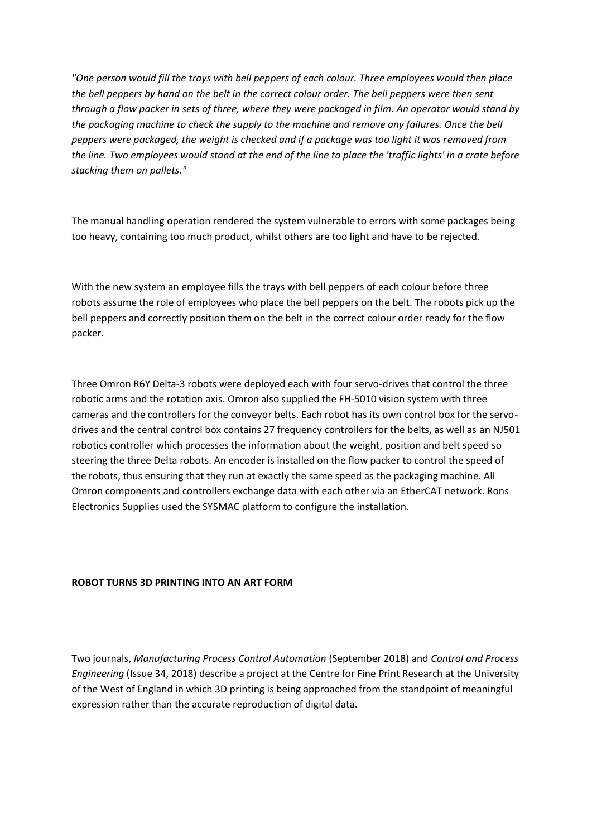*"One person would fill the trays with bell peppers of each colour. Three employees would then place the bell peppers by hand on the belt in the correct colour order. The bell peppers were then sent through a flow packer in sets of three, where they were packaged in film. An operator would stand by the packaging machine to check the supply to the machine and remove any failures. Once the bell peppers were packaged, the weight is checked and if a package was too light it was removed from the line. Two employees would stand at the end of the line to place the 'traffic lights' in a crate before stacking them on pallets."*

The manual handling operation rendered the system vulnerable to errors with some packages being too heavy, containing too much product, whilst others are too light and have to be rejected.

With the new system an employee fills the trays with bell peppers of each colour before three robots assume the role of employees who place the bell peppers on the belt. The robots pick up the bell peppers and correctly position them on the belt in the correct colour order ready for the flow packer.

Three Omron R6Y Delta-3 robots were deployed each with four servo-drives that control the three robotic arms and the rotation axis. Omron also supplied the FH-5010 vision system with three cameras and the controllers for the conveyor belts. Each robot has its own control box for the servodrives and the central control box contains 27 frequency controllers for the belts, as well as an NJ501 robotics controller which processes the information about the weight, position and belt speed so steering the three Delta robots. An encoder is installed on the flow packer to control the speed of the robots, thus ensuring that they run at exactly the same speed as the packaging machine. All Omron components and controllers exchange data with each other via an EtherCAT network. Rons Electronics Supplies used the SYSMAC platform to configure the installation.

### **ROBOT TURNS 3D PRINTING INTO AN ART FORM**

Two journals, *Manufacturing Process Control Automation* (September 2018) and *Control and Process Engineering* (Issue 34, 2018) describe a project at the Centre for Fine Print Research at the University of the West of England in which 3D printing is being approached from the standpoint of meaningful expression rather than the accurate reproduction of digital data.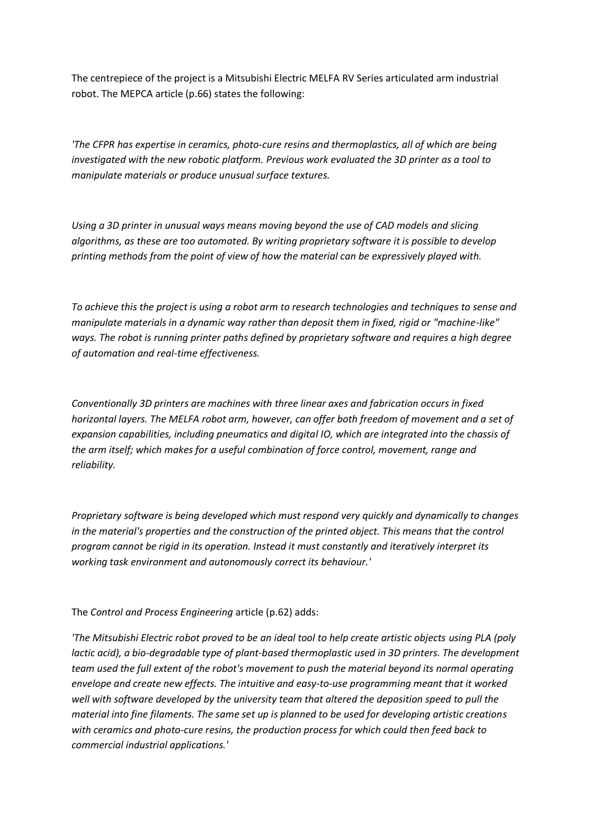The centrepiece of the project is a Mitsubishi Electric MELFA RV Series articulated arm industrial robot. The MEPCA article (p.66) states the following:

*'The CFPR has expertise in ceramics, photo-cure resins and thermoplastics, all of which are being investigated with the new robotic platform. Previous work evaluated the 3D printer as a tool to manipulate materials or produce unusual surface textures.*

*Using a 3D printer in unusual ways means moving beyond the use of CAD models and slicing algorithms, as these are too automated. By writing proprietary software it is possible to develop printing methods from the point of view of how the material can be expressively played with.*

*To achieve this the project is using a robot arm to research technologies and techniques to sense and manipulate materials in a dynamic way rather than deposit them in fixed, rigid or "machine-like" ways. The robot is running printer paths defined by proprietary software and requires a high degree of automation and real-time effectiveness.*

*Conventionally 3D printers are machines with three linear axes and fabrication occurs in fixed horizontal layers. The MELFA robot arm, however, can offer both freedom of movement and a set of expansion capabilities, including pneumatics and digital IO, which are integrated into the chassis of the arm itself; which makes for a useful combination of force control, movement, range and reliability.*

*Proprietary software is being developed which must respond very quickly and dynamically to changes in the material's properties and the construction of the printed object. This means that the control program cannot be rigid in its operation. Instead it must constantly and iteratively interpret its working task environment and autonomously correct its behaviour.'*

The *Control and Process Engineering* article (p.62) adds:

*'The Mitsubishi Electric robot proved to be an ideal tool to help create artistic objects using PLA (poly lactic acid), a bio-degradable type of plant-based thermoplastic used in 3D printers. The development team used the full extent of the robot's movement to push the material beyond its normal operating envelope and create new effects. The intuitive and easy-to-use programming meant that it worked well with software developed by the university team that altered the deposition speed to pull the material into fine filaments. The same set up is planned to be used for developing artistic creations with ceramics and photo-cure resins, the production process for which could then feed back to commercial industrial applications.'*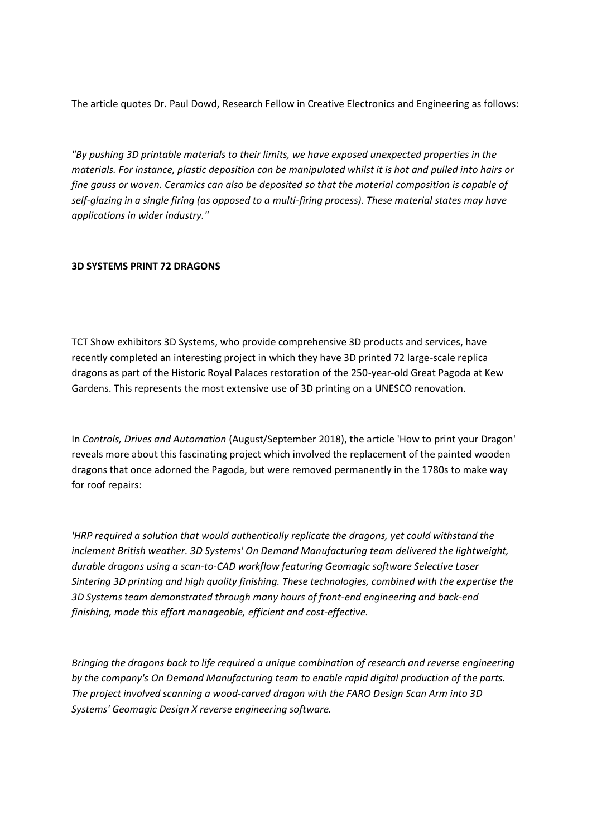The article quotes Dr. Paul Dowd, Research Fellow in Creative Electronics and Engineering as follows:

*"By pushing 3D printable materials to their limits, we have exposed unexpected properties in the materials. For instance, plastic deposition can be manipulated whilst it is hot and pulled into hairs or fine gauss or woven. Ceramics can also be deposited so that the material composition is capable of self-glazing in a single firing (as opposed to a multi-firing process). These material states may have applications in wider industry."*

### **3D SYSTEMS PRINT 72 DRAGONS**

TCT Show exhibitors 3D Systems, who provide comprehensive 3D products and services, have recently completed an interesting project in which they have 3D printed 72 large-scale replica dragons as part of the Historic Royal Palaces restoration of the 250-year-old Great Pagoda at Kew Gardens. This represents the most extensive use of 3D printing on a UNESCO renovation.

In *Controls, Drives and Automation* (August/September 2018), the article 'How to print your Dragon' reveals more about this fascinating project which involved the replacement of the painted wooden dragons that once adorned the Pagoda, but were removed permanently in the 1780s to make way for roof repairs:

*'HRP required a solution that would authentically replicate the dragons, yet could withstand the inclement British weather. 3D Systems' On Demand Manufacturing team delivered the lightweight, durable dragons using a scan-to-CAD workflow featuring Geomagic software Selective Laser Sintering 3D printing and high quality finishing. These technologies, combined with the expertise the 3D Systems team demonstrated through many hours of front-end engineering and back-end finishing, made this effort manageable, efficient and cost-effective.*

*Bringing the dragons back to life required a unique combination of research and reverse engineering by the company's On Demand Manufacturing team to enable rapid digital production of the parts. The project involved scanning a wood-carved dragon with the FARO Design Scan Arm into 3D Systems' Geomagic Design X reverse engineering software.*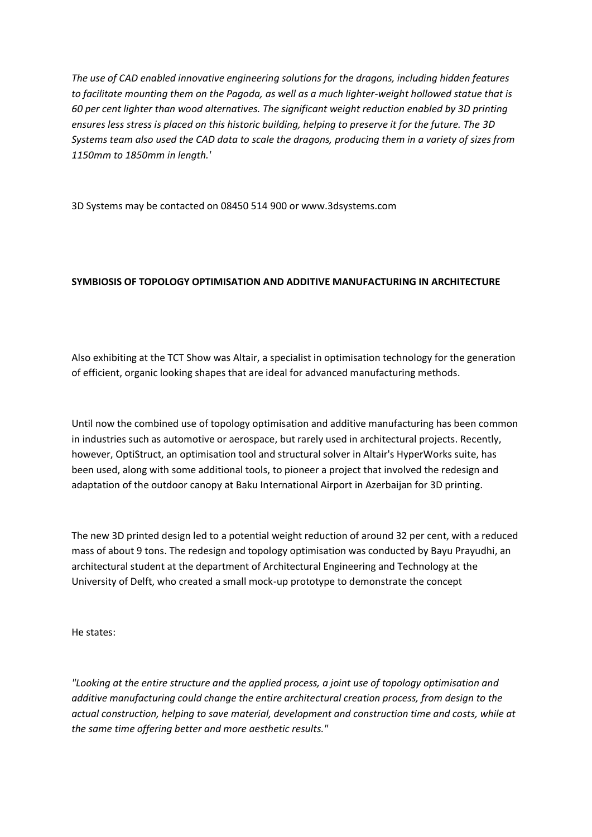*The use of CAD enabled innovative engineering solutions for the dragons, including hidden features to facilitate mounting them on the Pagoda, as well as a much lighter-weight hollowed statue that is 60 per cent lighter than wood alternatives. The significant weight reduction enabled by 3D printing ensures less stress is placed on this historic building, helping to preserve it for the future. The 3D Systems team also used the CAD data to scale the dragons, producing them in a variety of sizes from 1150mm to 1850mm in length.'*

3D Systems may be contacted on 08450 514 900 or www.3dsystems.com

# **SYMBIOSIS OF TOPOLOGY OPTIMISATION AND ADDITIVE MANUFACTURING IN ARCHITECTURE**

Also exhibiting at the TCT Show was Altair, a specialist in optimisation technology for the generation of efficient, organic looking shapes that are ideal for advanced manufacturing methods.

Until now the combined use of topology optimisation and additive manufacturing has been common in industries such as automotive or aerospace, but rarely used in architectural projects. Recently, however, OptiStruct, an optimisation tool and structural solver in Altair's HyperWorks suite, has been used, along with some additional tools, to pioneer a project that involved the redesign and adaptation of the outdoor canopy at Baku International Airport in Azerbaijan for 3D printing.

The new 3D printed design led to a potential weight reduction of around 32 per cent, with a reduced mass of about 9 tons. The redesign and topology optimisation was conducted by Bayu Prayudhi, an architectural student at the department of Architectural Engineering and Technology at the University of Delft, who created a small mock-up prototype to demonstrate the concept

He states:

*"Looking at the entire structure and the applied process, a joint use of topology optimisation and additive manufacturing could change the entire architectural creation process, from design to the actual construction, helping to save material, development and construction time and costs, while at the same time offering better and more aesthetic results."*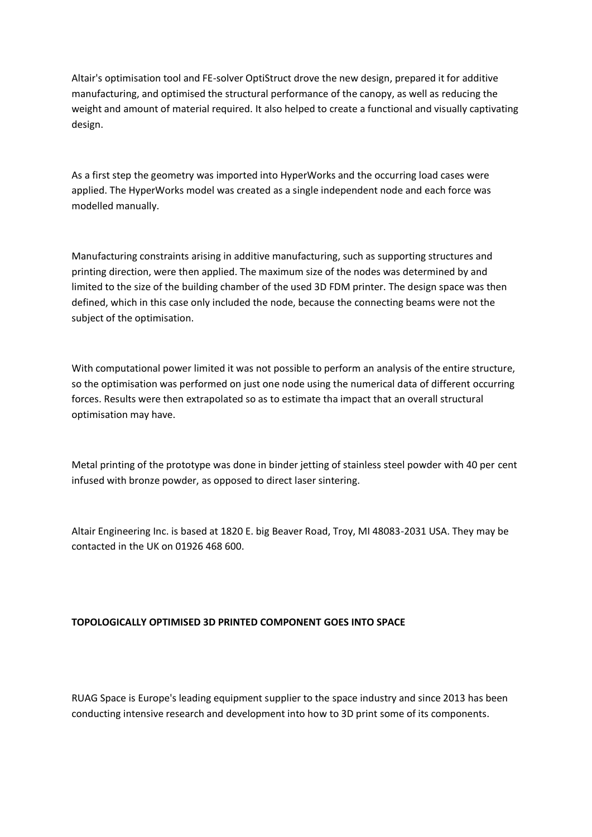Altair's optimisation tool and FE-solver OptiStruct drove the new design, prepared it for additive manufacturing, and optimised the structural performance of the canopy, as well as reducing the weight and amount of material required. It also helped to create a functional and visually captivating design.

As a first step the geometry was imported into HyperWorks and the occurring load cases were applied. The HyperWorks model was created as a single independent node and each force was modelled manually.

Manufacturing constraints arising in additive manufacturing, such as supporting structures and printing direction, were then applied. The maximum size of the nodes was determined by and limited to the size of the building chamber of the used 3D FDM printer. The design space was then defined, which in this case only included the node, because the connecting beams were not the subject of the optimisation.

With computational power limited it was not possible to perform an analysis of the entire structure, so the optimisation was performed on just one node using the numerical data of different occurring forces. Results were then extrapolated so as to estimate tha impact that an overall structural optimisation may have.

Metal printing of the prototype was done in binder jetting of stainless steel powder with 40 per cent infused with bronze powder, as opposed to direct laser sintering.

Altair Engineering Inc. is based at 1820 E. big Beaver Road, Troy, MI 48083-2031 USA. They may be contacted in the UK on 01926 468 600.

### **TOPOLOGICALLY OPTIMISED 3D PRINTED COMPONENT GOES INTO SPACE**

RUAG Space is Europe's leading equipment supplier to the space industry and since 2013 has been conducting intensive research and development into how to 3D print some of its components.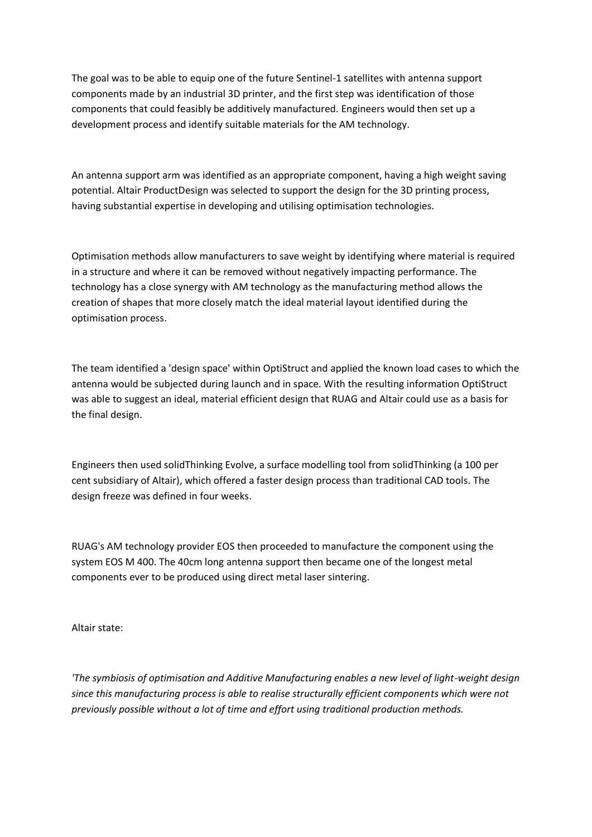The goal was to be able to equip one of the future Sentinel-1 satellites with antenna support components made by an industrial 3D printer, and the first step was identification of those components that could feasibly be additively manufactured. Engineers would then set up a development process and identify suitable materials for the AM technology.

An antenna support arm was identified as an appropriate component, having a high weight saving potential. Altair ProductDesign was selected to support the design for the 3D printing process, having substantial expertise in developing and utilising optimisation technologies.

Optimisation methods allow manufacturers to save weight by identifying where material is required in a structure and where it can be removed without negatively impacting performance. The technology has a close synergy with AM technology as the manufacturing method allows the creation of shapes that more closely match the ideal material layout identified during the optimisation process.

The team identified a 'design space' within OptiStruct and applied the known load cases to which the antenna would be subjected during launch and in space. With the resulting information OptiStruct was able to suggest an ideal, material efficient design that RUAG and Altair could use as a basis for the final design.

Engineers then used solidThinking Evolve, a surface modelling tool from solidThinking (a 100 per cent subsidiary of Altair), which offered a faster design process than traditional CAD tools. The design freeze was defined in four weeks.

RUAG's AM technology provider EOS then proceeded to manufacture the component using the system EOS M 400. The 40cm long antenna support then became one of the longest metal components ever to be produced using direct metal laser sintering.

Altair state:

*'The symbiosis of optimisation and Additive Manufacturing enables a new level of light-weight design since this manufacturing process is able to realise structurally efficient components which were not previously possible without a lot of time and effort using traditional production methods.*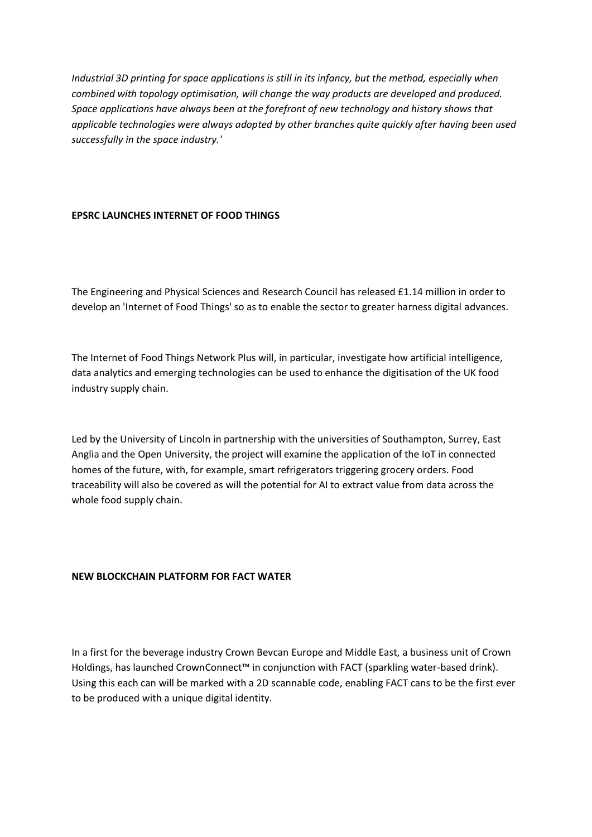*Industrial 3D printing for space applications is still in its infancy, but the method, especially when combined with topology optimisation, will change the way products are developed and produced. Space applications have always been at the forefront of new technology and history shows that applicable technologies were always adopted by other branches quite quickly after having been used successfully in the space industry.'*

### **EPSRC LAUNCHES INTERNET OF FOOD THINGS**

The Engineering and Physical Sciences and Research Council has released £1.14 million in order to develop an 'Internet of Food Things' so as to enable the sector to greater harness digital advances.

The Internet of Food Things Network Plus will, in particular, investigate how artificial intelligence, data analytics and emerging technologies can be used to enhance the digitisation of the UK food industry supply chain.

Led by the University of Lincoln in partnership with the universities of Southampton, Surrey, East Anglia and the Open University, the project will examine the application of the IoT in connected homes of the future, with, for example, smart refrigerators triggering grocery orders. Food traceability will also be covered as will the potential for AI to extract value from data across the whole food supply chain.

#### **NEW BLOCKCHAIN PLATFORM FOR FACT WATER**

In a first for the beverage industry Crown Bevcan Europe and Middle East, a business unit of Crown Holdings, has launched CrownConnect™ in conjunction with FACT (sparkling water-based drink). Using this each can will be marked with a 2D scannable code, enabling FACT cans to be the first ever to be produced with a unique digital identity.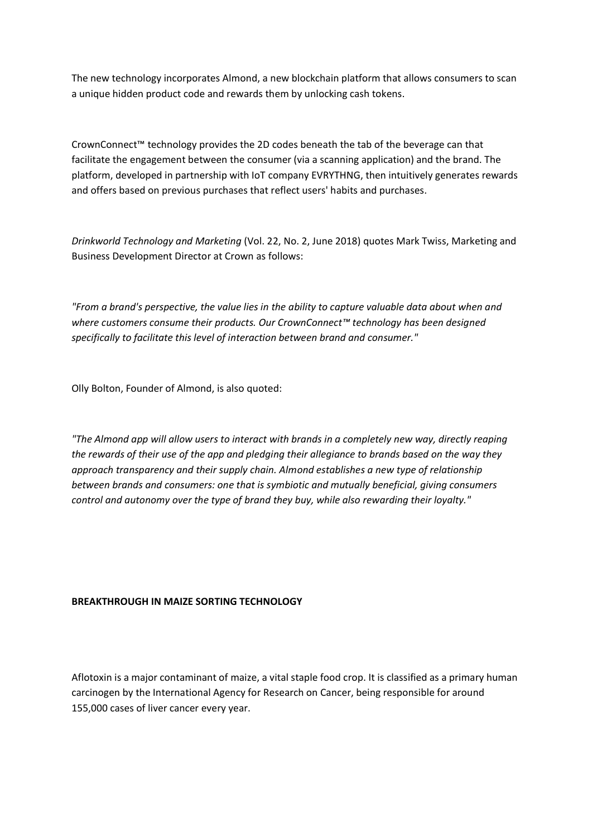The new technology incorporates Almond, a new blockchain platform that allows consumers to scan a unique hidden product code and rewards them by unlocking cash tokens.

CrownConnect™ technology provides the 2D codes beneath the tab of the beverage can that facilitate the engagement between the consumer (via a scanning application) and the brand. The platform, developed in partnership with IoT company EVRYTHNG, then intuitively generates rewards and offers based on previous purchases that reflect users' habits and purchases.

*Drinkworld Technology and Marketing* (Vol. 22, No. 2, June 2018) quotes Mark Twiss, Marketing and Business Development Director at Crown as follows:

*"From a brand's perspective, the value lies in the ability to capture valuable data about when and where customers consume their products. Our CrownConnect™ technology has been designed specifically to facilitate this level of interaction between brand and consumer."*

Olly Bolton, Founder of Almond, is also quoted:

*"The Almond app will allow users to interact with brands in a completely new way, directly reaping the rewards of their use of the app and pledging their allegiance to brands based on the way they approach transparency and their supply chain. Almond establishes a new type of relationship between brands and consumers: one that is symbiotic and mutually beneficial, giving consumers control and autonomy over the type of brand they buy, while also rewarding their loyalty."*

# **BREAKTHROUGH IN MAIZE SORTING TECHNOLOGY**

Aflotoxin is a major contaminant of maize, a vital staple food crop. It is classified as a primary human carcinogen by the International Agency for Research on Cancer, being responsible for around 155,000 cases of liver cancer every year.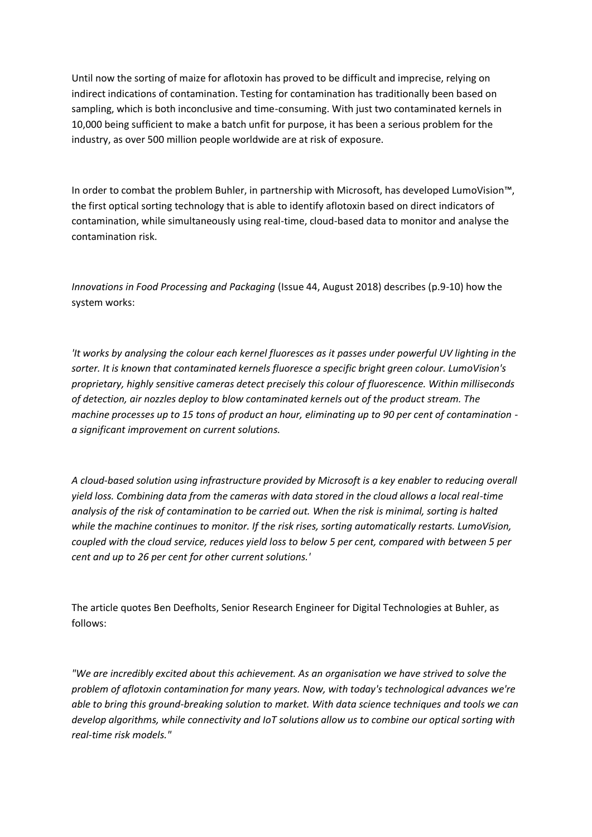Until now the sorting of maize for aflotoxin has proved to be difficult and imprecise, relying on indirect indications of contamination. Testing for contamination has traditionally been based on sampling, which is both inconclusive and time-consuming. With just two contaminated kernels in 10,000 being sufficient to make a batch unfit for purpose, it has been a serious problem for the industry, as over 500 million people worldwide are at risk of exposure.

In order to combat the problem Buhler, in partnership with Microsoft, has developed LumoVision™, the first optical sorting technology that is able to identify aflotoxin based on direct indicators of contamination, while simultaneously using real-time, cloud-based data to monitor and analyse the contamination risk.

*Innovations in Food Processing and Packaging* (Issue 44, August 2018) describes (p.9-10) how the system works:

*'It works by analysing the colour each kernel fluoresces as it passes under powerful UV lighting in the sorter. It is known that contaminated kernels fluoresce a specific bright green colour. LumoVision's proprietary, highly sensitive cameras detect precisely this colour of fluorescence. Within milliseconds of detection, air nozzles deploy to blow contaminated kernels out of the product stream. The machine processes up to 15 tons of product an hour, eliminating up to 90 per cent of contamination a significant improvement on current solutions.*

*A cloud-based solution using infrastructure provided by Microsoft is a key enabler to reducing overall yield loss. Combining data from the cameras with data stored in the cloud allows a local real-time analysis of the risk of contamination to be carried out. When the risk is minimal, sorting is halted while the machine continues to monitor. If the risk rises, sorting automatically restarts. LumoVision, coupled with the cloud service, reduces yield loss to below 5 per cent, compared with between 5 per cent and up to 26 per cent for other current solutions.'*

The article quotes Ben Deefholts, Senior Research Engineer for Digital Technologies at Buhler, as follows:

*"We are incredibly excited about this achievement. As an organisation we have strived to solve the problem of aflotoxin contamination for many years. Now, with today's technological advances we're able to bring this ground-breaking solution to market. With data science techniques and tools we can develop algorithms, while connectivity and IoT solutions allow us to combine our optical sorting with real-time risk models."*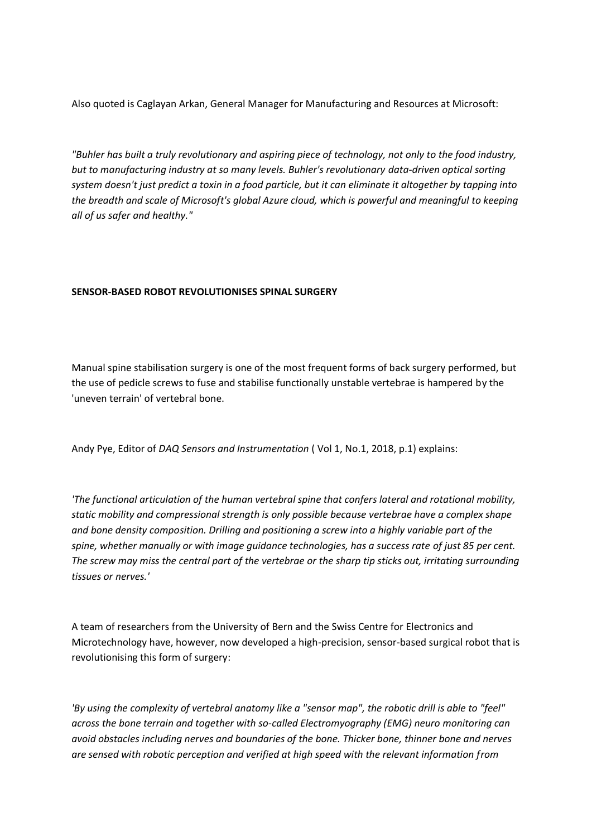Also quoted is Caglayan Arkan, General Manager for Manufacturing and Resources at Microsoft:

*"Buhler has built a truly revolutionary and aspiring piece of technology, not only to the food industry, but to manufacturing industry at so many levels. Buhler's revolutionary data-driven optical sorting system doesn't just predict a toxin in a food particle, but it can eliminate it altogether by tapping into the breadth and scale of Microsoft's global Azure cloud, which is powerful and meaningful to keeping all of us safer and healthy."*

# **SENSOR-BASED ROBOT REVOLUTIONISES SPINAL SURGERY**

Manual spine stabilisation surgery is one of the most frequent forms of back surgery performed, but the use of pedicle screws to fuse and stabilise functionally unstable vertebrae is hampered by the 'uneven terrain' of vertebral bone.

Andy Pye, Editor of *DAQ Sensors and Instrumentation* ( Vol 1, No.1, 2018, p.1) explains:

*'The functional articulation of the human vertebral spine that confers lateral and rotational mobility, static mobility and compressional strength is only possible because vertebrae have a complex shape and bone density composition. Drilling and positioning a screw into a highly variable part of the spine, whether manually or with image guidance technologies, has a success rate of just 85 per cent. The screw may miss the central part of the vertebrae or the sharp tip sticks out, irritating surrounding tissues or nerves.'*

A team of researchers from the University of Bern and the Swiss Centre for Electronics and Microtechnology have, however, now developed a high-precision, sensor-based surgical robot that is revolutionising this form of surgery:

*'By using the complexity of vertebral anatomy like a "sensor map", the robotic drill is able to "feel" across the bone terrain and together with so-called Electromyography (EMG) neuro monitoring can avoid obstacles including nerves and boundaries of the bone. Thicker bone, thinner bone and nerves are sensed with robotic perception and verified at high speed with the relevant information from*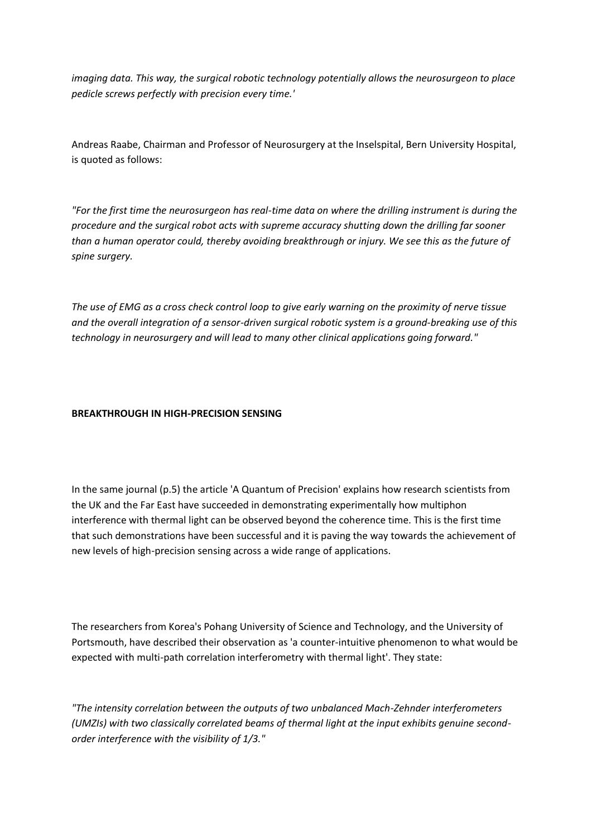*imaging data. This way, the surgical robotic technology potentially allows the neurosurgeon to place pedicle screws perfectly with precision every time.'*

Andreas Raabe, Chairman and Professor of Neurosurgery at the Inselspital, Bern University Hospital, is quoted as follows:

*"For the first time the neurosurgeon has real-time data on where the drilling instrument is during the procedure and the surgical robot acts with supreme accuracy shutting down the drilling far sooner than a human operator could, thereby avoiding breakthrough or injury. We see this as the future of spine surgery.*

*The use of EMG as a cross check control loop to give early warning on the proximity of nerve tissue and the overall integration of a sensor-driven surgical robotic system is a ground-breaking use of this technology in neurosurgery and will lead to many other clinical applications going forward."*

# **BREAKTHROUGH IN HIGH-PRECISION SENSING**

In the same journal (p.5) the article 'A Quantum of Precision' explains how research scientists from the UK and the Far East have succeeded in demonstrating experimentally how multiphon interference with thermal light can be observed beyond the coherence time. This is the first time that such demonstrations have been successful and it is paving the way towards the achievement of new levels of high-precision sensing across a wide range of applications.

The researchers from Korea's Pohang University of Science and Technology, and the University of Portsmouth, have described their observation as 'a counter-intuitive phenomenon to what would be expected with multi-path correlation interferometry with thermal light'. They state:

*"The intensity correlation between the outputs of two unbalanced Mach-Zehnder interferometers (UMZIs) with two classically correlated beams of thermal light at the input exhibits genuine secondorder interference with the visibility of 1/3."*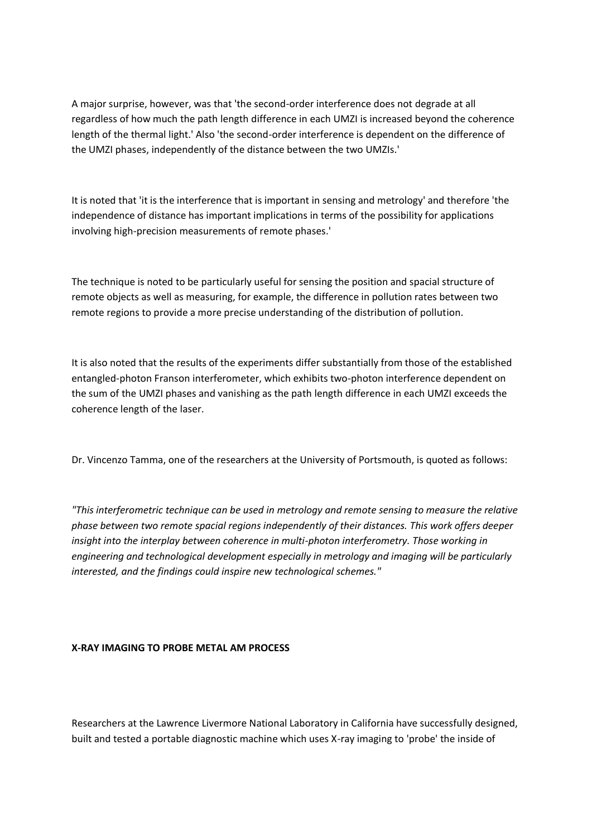A major surprise, however, was that 'the second-order interference does not degrade at all regardless of how much the path length difference in each UMZI is increased beyond the coherence length of the thermal light.' Also 'the second-order interference is dependent on the difference of the UMZI phases, independently of the distance between the two UMZIs.'

It is noted that 'it is the interference that is important in sensing and metrology' and therefore 'the independence of distance has important implications in terms of the possibility for applications involving high-precision measurements of remote phases.'

The technique is noted to be particularly useful for sensing the position and spacial structure of remote objects as well as measuring, for example, the difference in pollution rates between two remote regions to provide a more precise understanding of the distribution of pollution.

It is also noted that the results of the experiments differ substantially from those of the established entangled-photon Franson interferometer, which exhibits two-photon interference dependent on the sum of the UMZI phases and vanishing as the path length difference in each UMZI exceeds the coherence length of the laser.

Dr. Vincenzo Tamma, one of the researchers at the University of Portsmouth, is quoted as follows:

*"This interferometric technique can be used in metrology and remote sensing to measure the relative phase between two remote spacial regions independently of their distances. This work offers deeper insight into the interplay between coherence in multi-photon interferometry. Those working in engineering and technological development especially in metrology and imaging will be particularly interested, and the findings could inspire new technological schemes."*

# **X-RAY IMAGING TO PROBE METAL AM PROCESS**

Researchers at the Lawrence Livermore National Laboratory in California have successfully designed, built and tested a portable diagnostic machine which uses X-ray imaging to 'probe' the inside of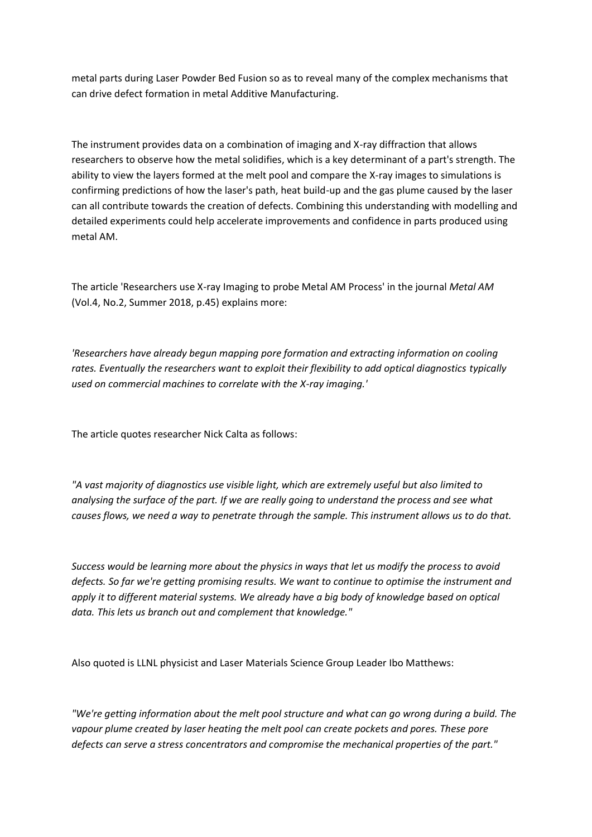metal parts during Laser Powder Bed Fusion so as to reveal many of the complex mechanisms that can drive defect formation in metal Additive Manufacturing.

The instrument provides data on a combination of imaging and X-ray diffraction that allows researchers to observe how the metal solidifies, which is a key determinant of a part's strength. The ability to view the layers formed at the melt pool and compare the X-ray images to simulations is confirming predictions of how the laser's path, heat build-up and the gas plume caused by the laser can all contribute towards the creation of defects. Combining this understanding with modelling and detailed experiments could help accelerate improvements and confidence in parts produced using metal AM.

The article 'Researchers use X-ray Imaging to probe Metal AM Process' in the journal *Metal AM* (Vol.4, No.2, Summer 2018, p.45) explains more:

*'Researchers have already begun mapping pore formation and extracting information on cooling rates. Eventually the researchers want to exploit their flexibility to add optical diagnostics typically used on commercial machines to correlate with the X-ray imaging.'*

The article quotes researcher Nick Calta as follows:

*"A vast majority of diagnostics use visible light, which are extremely useful but also limited to analysing the surface of the part. If we are really going to understand the process and see what causes flows, we need a way to penetrate through the sample. This instrument allows us to do that.*

*Success would be learning more about the physics in ways that let us modify the process to avoid defects. So far we're getting promising results. We want to continue to optimise the instrument and apply it to different material systems. We already have a big body of knowledge based on optical data. This lets us branch out and complement that knowledge."*

Also quoted is LLNL physicist and Laser Materials Science Group Leader Ibo Matthews:

*"We're getting information about the melt pool structure and what can go wrong during a build. The vapour plume created by laser heating the melt pool can create pockets and pores. These pore defects can serve a stress concentrators and compromise the mechanical properties of the part."*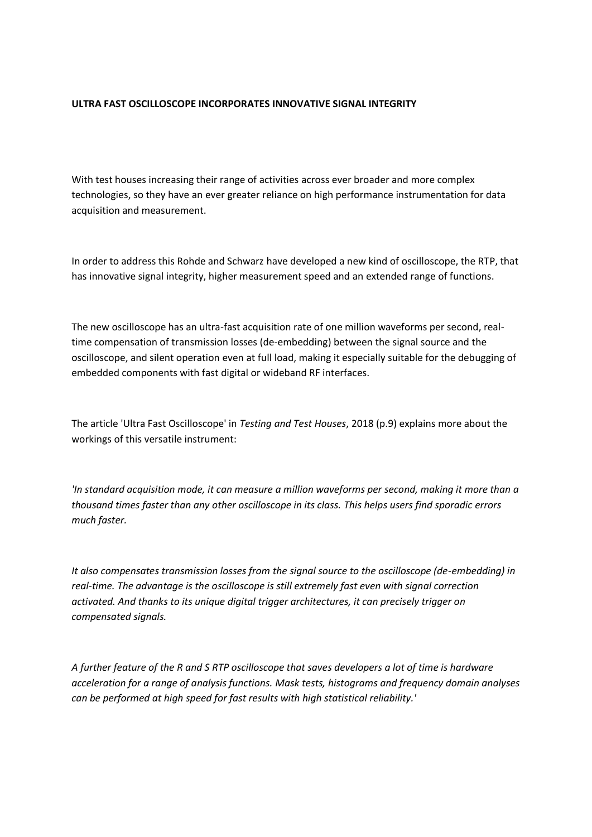# **ULTRA FAST OSCILLOSCOPE INCORPORATES INNOVATIVE SIGNAL INTEGRITY**

With test houses increasing their range of activities across ever broader and more complex technologies, so they have an ever greater reliance on high performance instrumentation for data acquisition and measurement.

In order to address this Rohde and Schwarz have developed a new kind of oscilloscope, the RTP, that has innovative signal integrity, higher measurement speed and an extended range of functions.

The new oscilloscope has an ultra-fast acquisition rate of one million waveforms per second, realtime compensation of transmission losses (de-embedding) between the signal source and the oscilloscope, and silent operation even at full load, making it especially suitable for the debugging of embedded components with fast digital or wideband RF interfaces.

The article 'Ultra Fast Oscilloscope' in *Testing and Test Houses*, 2018 (p.9) explains more about the workings of this versatile instrument:

*'In standard acquisition mode, it can measure a million waveforms per second, making it more than a thousand times faster than any other oscilloscope in its class. This helps users find sporadic errors much faster.*

*It also compensates transmission losses from the signal source to the oscilloscope (de-embedding) in real-time. The advantage is the oscilloscope is still extremely fast even with signal correction activated. And thanks to its unique digital trigger architectures, it can precisely trigger on compensated signals.* 

*A further feature of the R and S RTP oscilloscope that saves developers a lot of time is hardware acceleration for a range of analysis functions. Mask tests, histograms and frequency domain analyses can be performed at high speed for fast results with high statistical reliability.'*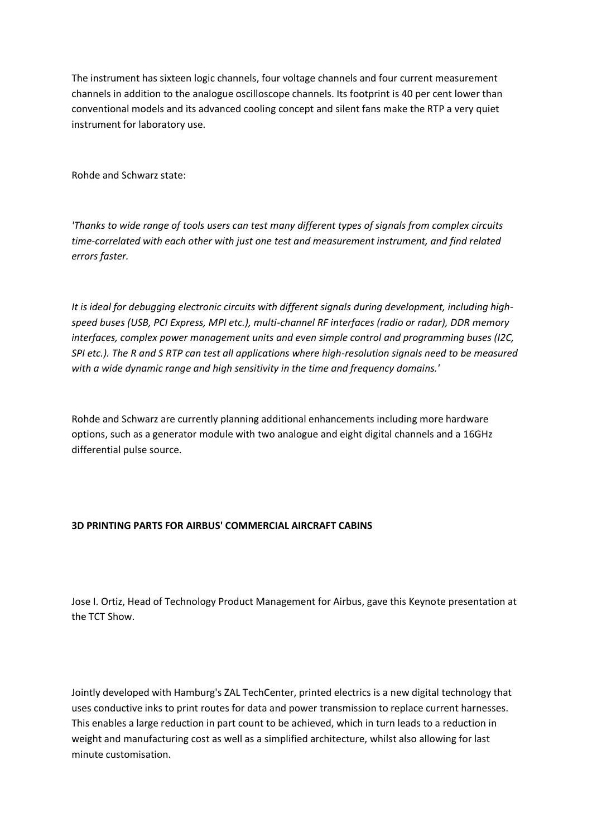The instrument has sixteen logic channels, four voltage channels and four current measurement channels in addition to the analogue oscilloscope channels. Its footprint is 40 per cent lower than conventional models and its advanced cooling concept and silent fans make the RTP a very quiet instrument for laboratory use.

Rohde and Schwarz state:

*'Thanks to wide range of tools users can test many different types of signals from complex circuits time-correlated with each other with just one test and measurement instrument, and find related errors faster.*

*It is ideal for debugging electronic circuits with different signals during development, including highspeed buses (USB, PCI Express, MPI etc.), multi-channel RF interfaces (radio or radar), DDR memory interfaces, complex power management units and even simple control and programming buses (I2C, SPI etc.). The R and S RTP can test all applications where high-resolution signals need to be measured with a wide dynamic range and high sensitivity in the time and frequency domains.'*

Rohde and Schwarz are currently planning additional enhancements including more hardware options, such as a generator module with two analogue and eight digital channels and a 16GHz differential pulse source.

### **3D PRINTING PARTS FOR AIRBUS' COMMERCIAL AIRCRAFT CABINS**

Jose I. Ortiz, Head of Technology Product Management for Airbus, gave this Keynote presentation at the TCT Show.

Jointly developed with Hamburg's ZAL TechCenter, printed electrics is a new digital technology that uses conductive inks to print routes for data and power transmission to replace current harnesses. This enables a large reduction in part count to be achieved, which in turn leads to a reduction in weight and manufacturing cost as well as a simplified architecture, whilst also allowing for last minute customisation.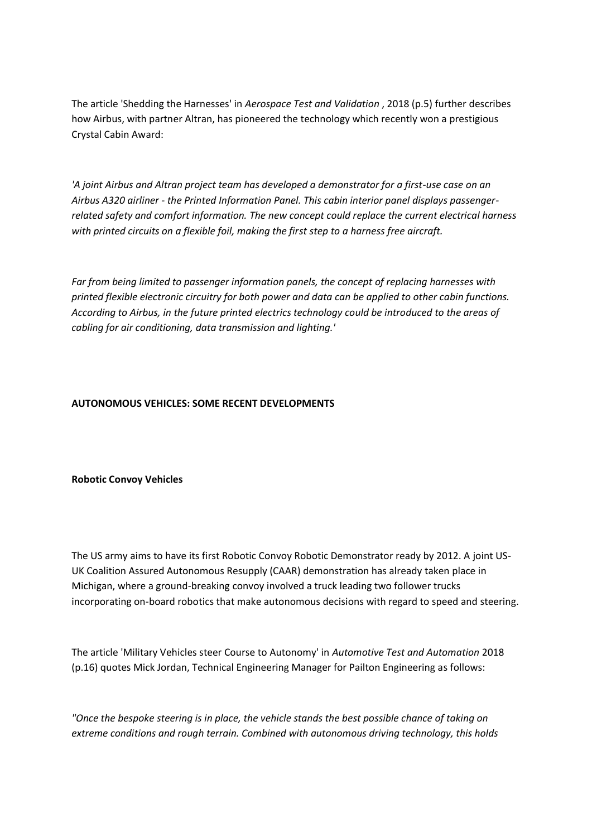The article 'Shedding the Harnesses' in *Aerospace Test and Validation* , 2018 (p.5) further describes how Airbus, with partner Altran, has pioneered the technology which recently won a prestigious Crystal Cabin Award:

*'A joint Airbus and Altran project team has developed a demonstrator for a first-use case on an Airbus A320 airliner - the Printed Information Panel. This cabin interior panel displays passengerrelated safety and comfort information. The new concept could replace the current electrical harness with printed circuits on a flexible foil, making the first step to a harness free aircraft.*

*Far from being limited to passenger information panels, the concept of replacing harnesses with printed flexible electronic circuitry for both power and data can be applied to other cabin functions. According to Airbus, in the future printed electrics technology could be introduced to the areas of cabling for air conditioning, data transmission and lighting.'*

# **AUTONOMOUS VEHICLES: SOME RECENT DEVELOPMENTS**

### **Robotic Convoy Vehicles**

The US army aims to have its first Robotic Convoy Robotic Demonstrator ready by 2012. A joint US-UK Coalition Assured Autonomous Resupply (CAAR) demonstration has already taken place in Michigan, where a ground-breaking convoy involved a truck leading two follower trucks incorporating on-board robotics that make autonomous decisions with regard to speed and steering.

The article 'Military Vehicles steer Course to Autonomy' in *Automotive Test and Automation* 2018 (p.16) quotes Mick Jordan, Technical Engineering Manager for Pailton Engineering as follows:

*"Once the bespoke steering is in place, the vehicle stands the best possible chance of taking on extreme conditions and rough terrain. Combined with autonomous driving technology, this holds*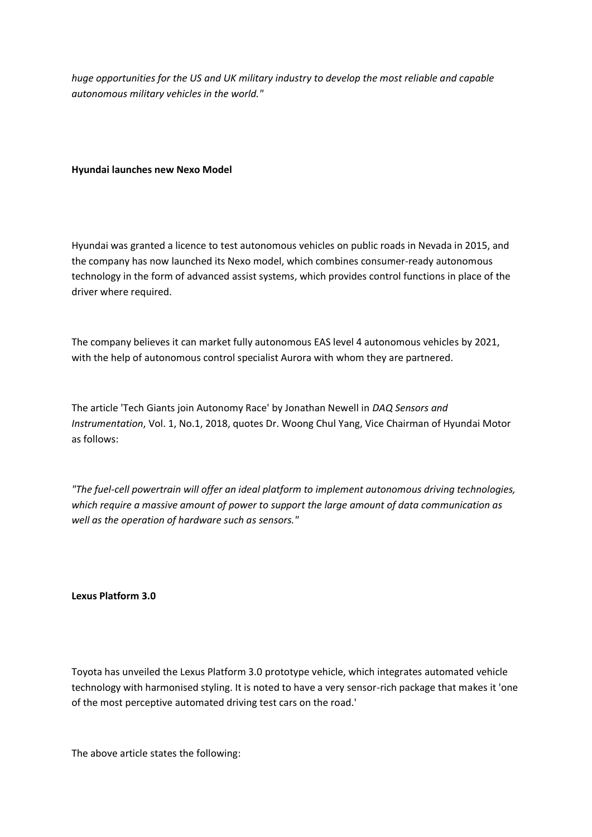*huge opportunities for the US and UK military industry to develop the most reliable and capable autonomous military vehicles in the world."*

### **Hyundai launches new Nexo Model**

Hyundai was granted a licence to test autonomous vehicles on public roads in Nevada in 2015, and the company has now launched its Nexo model, which combines consumer-ready autonomous technology in the form of advanced assist systems, which provides control functions in place of the driver where required.

The company believes it can market fully autonomous EAS level 4 autonomous vehicles by 2021, with the help of autonomous control specialist Aurora with whom they are partnered.

The article 'Tech Giants join Autonomy Race' by Jonathan Newell in *DAQ Sensors and Instrumentation*, Vol. 1, No.1, 2018, quotes Dr. Woong Chul Yang, Vice Chairman of Hyundai Motor as follows:

*"The fuel-cell powertrain will offer an ideal platform to implement autonomous driving technologies, which require a massive amount of power to support the large amount of data communication as well as the operation of hardware such as sensors."*

#### **Lexus Platform 3.0**

Toyota has unveiled the Lexus Platform 3.0 prototype vehicle, which integrates automated vehicle technology with harmonised styling. It is noted to have a very sensor-rich package that makes it 'one of the most perceptive automated driving test cars on the road.'

The above article states the following: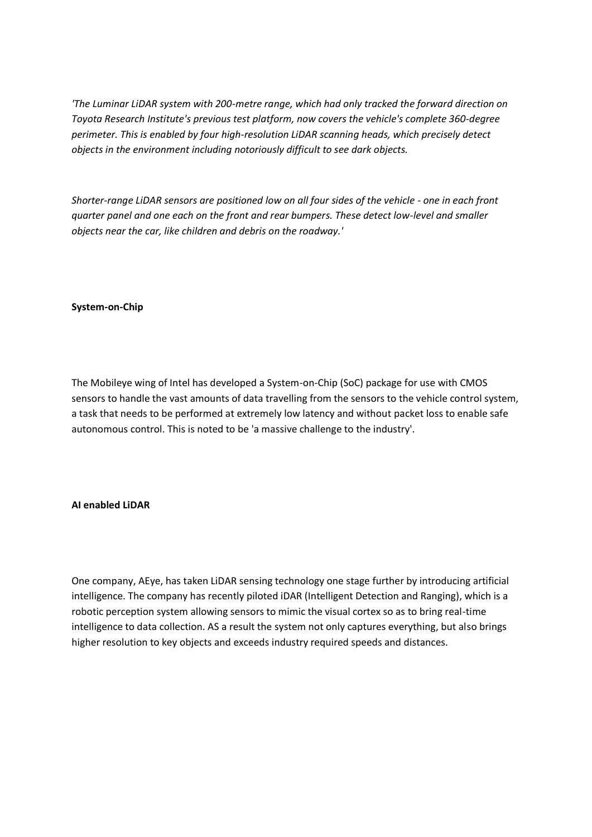*'The Luminar LiDAR system with 200-metre range, which had only tracked the forward direction on Toyota Research Institute's previous test platform, now covers the vehicle's complete 360-degree perimeter. This is enabled by four high-resolution LiDAR scanning heads, which precisely detect objects in the environment including notoriously difficult to see dark objects.*

*Shorter-range LiDAR sensors are positioned low on all four sides of the vehicle - one in each front quarter panel and one each on the front and rear bumpers. These detect low-level and smaller objects near the car, like children and debris on the roadway.'*

### **System-on-Chip**

The Mobileye wing of Intel has developed a System-on-Chip (SoC) package for use with CMOS sensors to handle the vast amounts of data travelling from the sensors to the vehicle control system, a task that needs to be performed at extremely low latency and without packet loss to enable safe autonomous control. This is noted to be 'a massive challenge to the industry'.

### **AI enabled LiDAR**

One company, AEye, has taken LiDAR sensing technology one stage further by introducing artificial intelligence. The company has recently piloted iDAR (Intelligent Detection and Ranging), which is a robotic perception system allowing sensors to mimic the visual cortex so as to bring real-time intelligence to data collection. AS a result the system not only captures everything, but also brings higher resolution to key objects and exceeds industry required speeds and distances.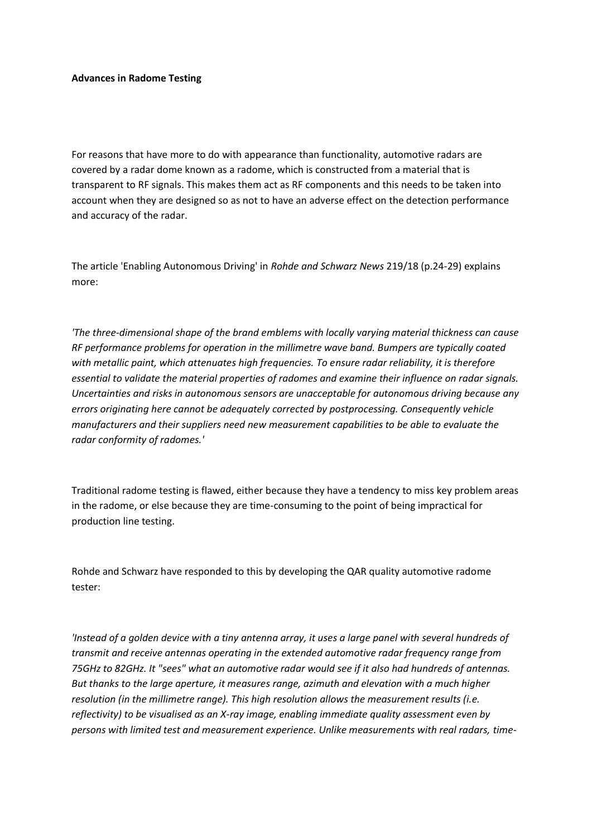### **Advances in Radome Testing**

For reasons that have more to do with appearance than functionality, automotive radars are covered by a radar dome known as a radome, which is constructed from a material that is transparent to RF signals. This makes them act as RF components and this needs to be taken into account when they are designed so as not to have an adverse effect on the detection performance and accuracy of the radar.

The article 'Enabling Autonomous Driving' in *Rohde and Schwarz News* 219/18 (p.24-29) explains more:

*'The three-dimensional shape of the brand emblems with locally varying material thickness can cause RF performance problems for operation in the millimetre wave band. Bumpers are typically coated with metallic paint, which attenuates high frequencies. To ensure radar reliability, it is therefore essential to validate the material properties of radomes and examine their influence on radar signals. Uncertainties and risks in autonomous sensors are unacceptable for autonomous driving because any errors originating here cannot be adequately corrected by postprocessing. Consequently vehicle manufacturers and their suppliers need new measurement capabilities to be able to evaluate the radar conformity of radomes.'*

Traditional radome testing is flawed, either because they have a tendency to miss key problem areas in the radome, or else because they are time-consuming to the point of being impractical for production line testing.

Rohde and Schwarz have responded to this by developing the QAR quality automotive radome tester:

*'Instead of a golden device with a tiny antenna array, it uses a large panel with several hundreds of transmit and receive antennas operating in the extended automotive radar frequency range from 75GHz to 82GHz. It "sees" what an automotive radar would see if it also had hundreds of antennas. But thanks to the large aperture, it measures range, azimuth and elevation with a much higher resolution (in the millimetre range). This high resolution allows the measurement results (i.e. reflectivity) to be visualised as an X-ray image, enabling immediate quality assessment even by persons with limited test and measurement experience. Unlike measurements with real radars, time-*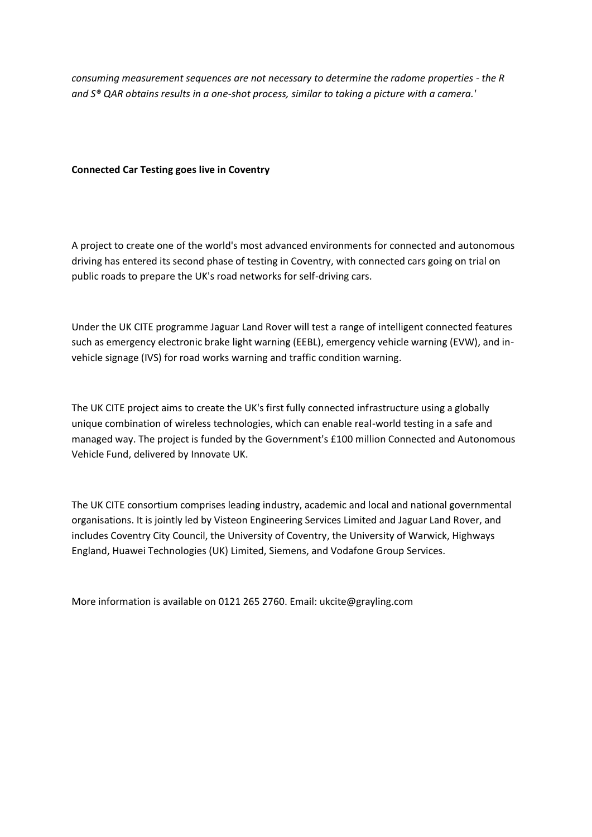*consuming measurement sequences are not necessary to determine the radome properties - the R and S® QAR obtains results in a one-shot process, similar to taking a picture with a camera.'*

# **Connected Car Testing goes live in Coventry**

A project to create one of the world's most advanced environments for connected and autonomous driving has entered its second phase of testing in Coventry, with connected cars going on trial on public roads to prepare the UK's road networks for self-driving cars.

Under the UK CITE programme Jaguar Land Rover will test a range of intelligent connected features such as emergency electronic brake light warning (EEBL), emergency vehicle warning (EVW), and invehicle signage (IVS) for road works warning and traffic condition warning.

The UK CITE project aims to create the UK's first fully connected infrastructure using a globally unique combination of wireless technologies, which can enable real-world testing in a safe and managed way. The project is funded by the Government's £100 million Connected and Autonomous Vehicle Fund, delivered by Innovate UK.

The UK CITE consortium comprises leading industry, academic and local and national governmental organisations. It is jointly led by Visteon Engineering Services Limited and Jaguar Land Rover, and includes Coventry City Council, the University of Coventry, the University of Warwick, Highways England, Huawei Technologies (UK) Limited, Siemens, and Vodafone Group Services.

More information is available on 0121 265 2760. Email: ukcite@grayling.com